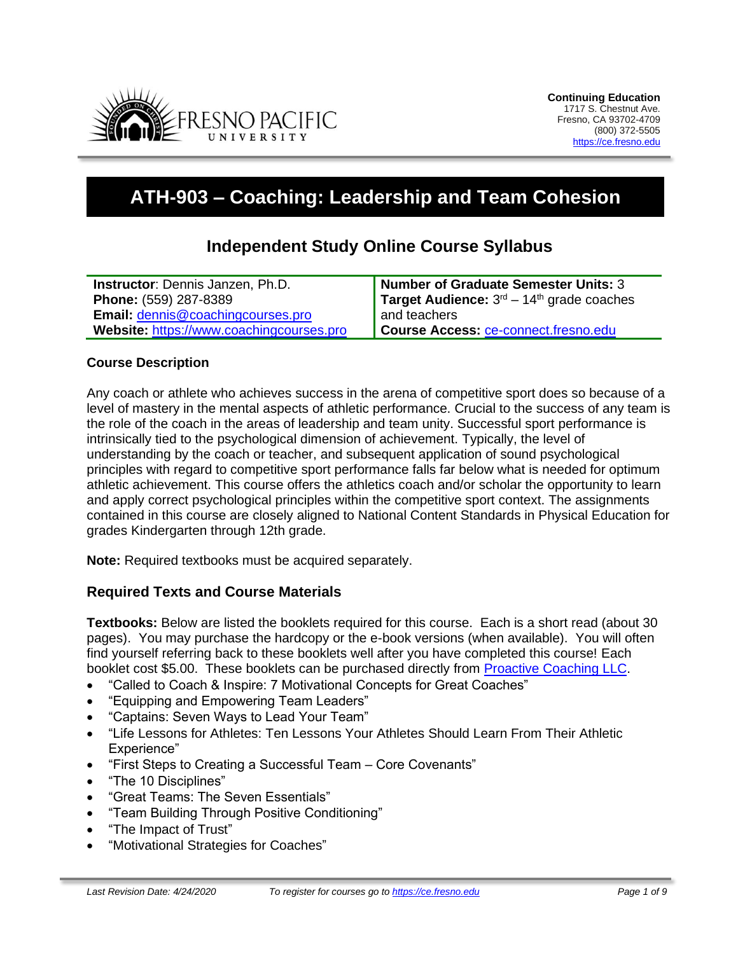

# **ATH-903 – Coaching: Leadership and Team Cohesion**

# **Independent Study Online Course Syllabus**

| <b>Instructor:</b> Dennis Janzen, Ph.D.  | <b>Number of Graduate Semester Units: 3</b> |
|------------------------------------------|---------------------------------------------|
| Phone: (559) 287-8389                    | Target Audience: $3rd - 14th$ grade coaches |
| <b>Email: dennis@coachingcourses.pro</b> | and teachers                                |
| Website: https://www.coachingcourses.pro | <b>Course Access: ce-connect.fresno.edu</b> |

#### **Course Description**

Any coach or athlete who achieves success in the arena of competitive sport does so because of a level of mastery in the mental aspects of athletic performance. Crucial to the success of any team is the role of the coach in the areas of leadership and team unity. Successful sport performance is intrinsically tied to the psychological dimension of achievement. Typically, the level of understanding by the coach or teacher, and subsequent application of sound psychological principles with regard to competitive sport performance falls far below what is needed for optimum athletic achievement. This course offers the athletics coach and/or scholar the opportunity to learn and apply correct psychological principles within the competitive sport context. The assignments contained in this course are closely aligned to National Content Standards in Physical Education for grades Kindergarten through 12th grade.

**Note:** Required textbooks must be acquired separately.

#### **Required Texts and Course Materials**

**Textbooks:** Below are listed the booklets required for this course. Each is a short read (about 30 pages). You may purchase the hardcopy or the e-book versions (when available). You will often find yourself referring back to these booklets well after you have completed this course! Each booklet cost \$5.00. These booklets can be purchased directly from [Proactive Coaching LLC.](https://proactivecoaching.info/shoppac/product-category/booklets/)

- "Called to Coach & Inspire: 7 Motivational Concepts for Great Coaches"
- "Equipping and Empowering Team Leaders"
- "Captains: Seven Ways to Lead Your Team"
- "Life Lessons for Athletes: Ten Lessons Your Athletes Should Learn From Their Athletic Experience"
- "First Steps to Creating a Successful Team Core Covenants"
- "The 10 Disciplines"
- "Great Teams: The Seven Essentials"
- "Team Building Through Positive Conditioning"
- "The Impact of Trust"
- "Motivational Strategies for Coaches"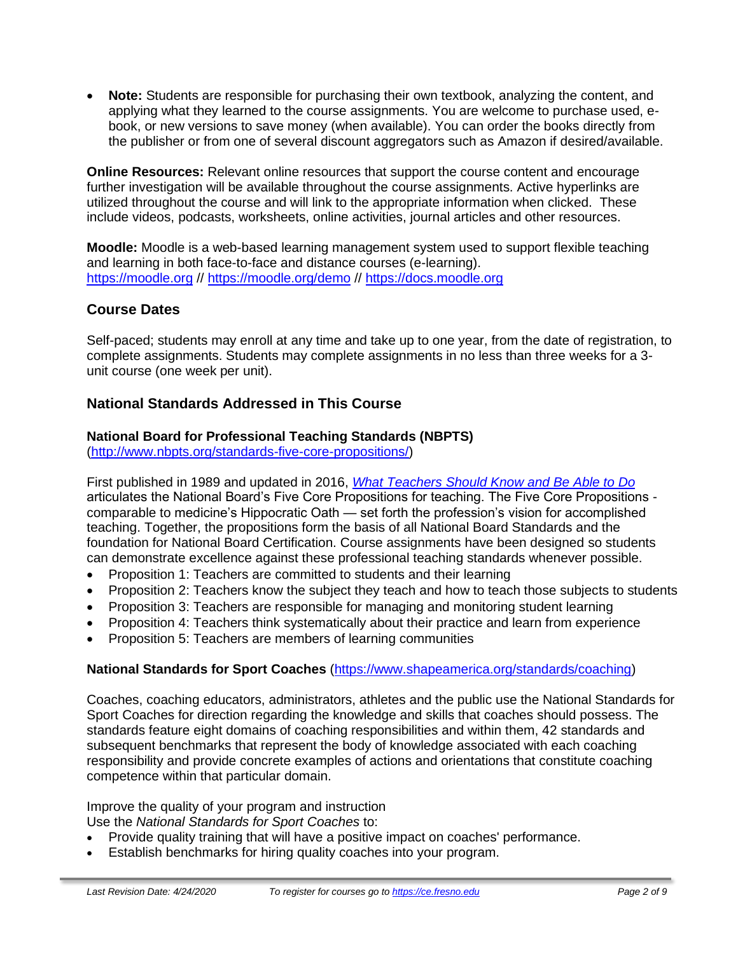• **Note:** Students are responsible for purchasing their own textbook, analyzing the content, and applying what they learned to the course assignments. You are welcome to purchase used, ebook, or new versions to save money (when available). You can order the books directly from the publisher or from one of several discount aggregators such as Amazon if desired/available.

**Online Resources:** Relevant online resources that support the course content and encourage further investigation will be available throughout the course assignments. Active hyperlinks are utilized throughout the course and will link to the appropriate information when clicked. These include videos, podcasts, worksheets, online activities, journal articles and other resources.

**Moodle:** Moodle is a web-based learning management system used to support flexible teaching and learning in both face-to-face and distance courses (e-learning). [https://moodle.org](https://moodle.org/) //<https://moodle.org/demo> // [https://docs.moodle.org](https://docs.moodle.org/)

# **Course Dates**

Self-paced; students may enroll at any time and take up to one year, from the date of registration, to complete assignments. Students may complete assignments in no less than three weeks for a 3 unit course (one week per unit).

# **National Standards Addressed in This Course**

# **National Board for Professional Teaching Standards (NBPTS)**

[\(http://www.nbpts.org/standards-five-core-propositions/\)](http://www.nbpts.org/standards-five-core-propositions/)

First published in 1989 and updated in 2016, *[What Teachers Should Know and Be Able to Do](http://www.accomplishedteacher.org/)* articulates the National Board's Five Core Propositions for teaching. The Five Core Propositions comparable to medicine's Hippocratic Oath — set forth the profession's vision for accomplished teaching. Together, the propositions form the basis of all National Board Standards and the foundation for National Board Certification. Course assignments have been designed so students can demonstrate excellence against these professional teaching standards whenever possible.

- Proposition 1: Teachers are committed to students and their learning
- Proposition 2: Teachers know the subject they teach and how to teach those subjects to students
- Proposition 3: Teachers are responsible for managing and monitoring student learning
- Proposition 4: Teachers think systematically about their practice and learn from experience
- Proposition 5: Teachers are members of learning communities

# **National Standards for Sport Coaches** [\(https://www.shapeamerica.org/standards/coaching\)](https://www.shapeamerica.org/standards/coaching)

Coaches, coaching educators, administrators, athletes and the public use the National Standards for Sport Coaches for direction regarding the knowledge and skills that coaches should possess. The standards feature eight domains of coaching responsibilities and within them, 42 standards and subsequent benchmarks that represent the body of knowledge associated with each coaching responsibility and provide concrete examples of actions and orientations that constitute coaching competence within that particular domain.

Improve the quality of your program and instruction

Use the *National Standards for Sport Coaches* to:

- Provide quality training that will have a positive impact on coaches' performance.
- Establish benchmarks for hiring quality coaches into your program.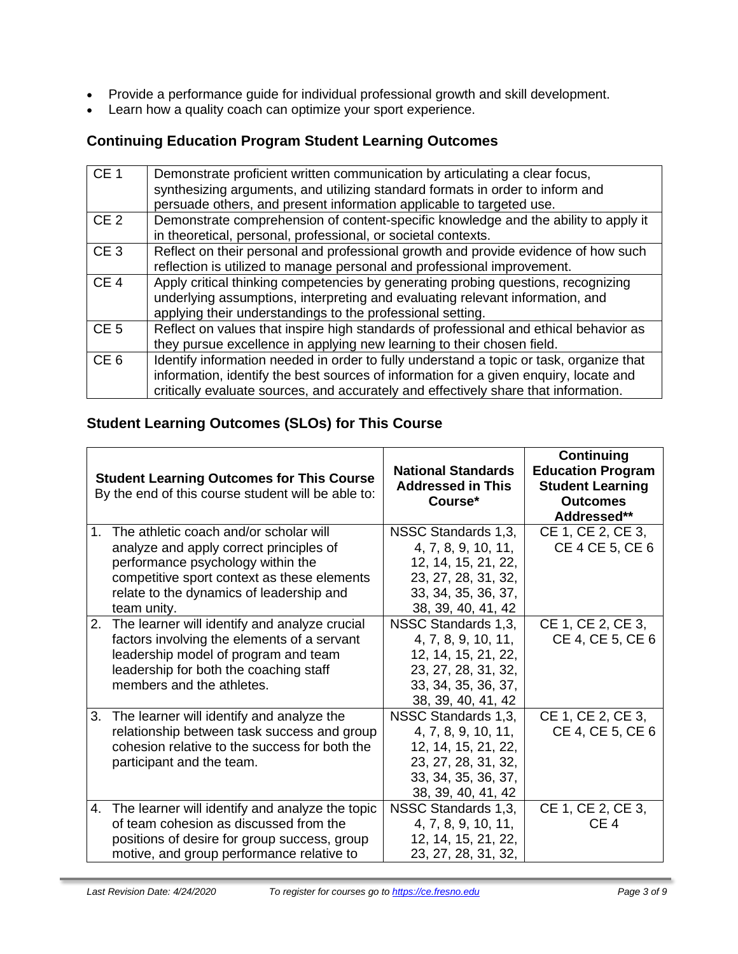- Provide a performance guide for individual professional growth and skill development.
- Learn how a quality coach can optimize your sport experience.

# **Continuing Education Program Student Learning Outcomes**

| CE <sub>1</sub> | Demonstrate proficient written communication by articulating a clear focus,<br>synthesizing arguments, and utilizing standard formats in order to inform and<br>persuade others, and present information applicable to targeted use.                                    |
|-----------------|-------------------------------------------------------------------------------------------------------------------------------------------------------------------------------------------------------------------------------------------------------------------------|
| CE <sub>2</sub> | Demonstrate comprehension of content-specific knowledge and the ability to apply it<br>in theoretical, personal, professional, or societal contexts.                                                                                                                    |
| CE <sub>3</sub> | Reflect on their personal and professional growth and provide evidence of how such<br>reflection is utilized to manage personal and professional improvement.                                                                                                           |
| CE <sub>4</sub> | Apply critical thinking competencies by generating probing questions, recognizing<br>underlying assumptions, interpreting and evaluating relevant information, and<br>applying their understandings to the professional setting.                                        |
| CE <sub>5</sub> | Reflect on values that inspire high standards of professional and ethical behavior as<br>they pursue excellence in applying new learning to their chosen field.                                                                                                         |
| CE <sub>6</sub> | Identify information needed in order to fully understand a topic or task, organize that<br>information, identify the best sources of information for a given enquiry, locate and<br>critically evaluate sources, and accurately and effectively share that information. |

# **Student Learning Outcomes (SLOs) for This Course**

|                | <b>Student Learning Outcomes for This Course</b><br>By the end of this course student will be able to: | <b>National Standards</b><br><b>Addressed in This</b><br>Course* | Continuing<br><b>Education Program</b><br><b>Student Learning</b><br><b>Outcomes</b><br>Addressed** |
|----------------|--------------------------------------------------------------------------------------------------------|------------------------------------------------------------------|-----------------------------------------------------------------------------------------------------|
| $\mathbf{1}$ . | The athletic coach and/or scholar will                                                                 | NSSC Standards 1,3,                                              | CE 1, CE 2, CE 3,                                                                                   |
|                | analyze and apply correct principles of                                                                | 4, 7, 8, 9, 10, 11,                                              | CE 4 CE 5, CE 6                                                                                     |
|                | performance psychology within the                                                                      | 12, 14, 15, 21, 22,                                              |                                                                                                     |
|                | competitive sport context as these elements                                                            | 23, 27, 28, 31, 32,                                              |                                                                                                     |
|                | relate to the dynamics of leadership and                                                               | 33, 34, 35, 36, 37,                                              |                                                                                                     |
|                | team unity.                                                                                            | 38, 39, 40, 41, 42                                               |                                                                                                     |
| 2.             | The learner will identify and analyze crucial                                                          | NSSC Standards 1,3,                                              | CE 1, CE 2, CE 3,                                                                                   |
|                | factors involving the elements of a servant                                                            | 4, 7, 8, 9, 10, 11,                                              | CE 4, CE 5, CE 6                                                                                    |
|                | leadership model of program and team                                                                   | 12, 14, 15, 21, 22,                                              |                                                                                                     |
|                | leadership for both the coaching staff                                                                 | 23, 27, 28, 31, 32,                                              |                                                                                                     |
|                | members and the athletes.                                                                              | 33, 34, 35, 36, 37,                                              |                                                                                                     |
|                |                                                                                                        | 38, 39, 40, 41, 42                                               |                                                                                                     |
| 3.             | The learner will identify and analyze the                                                              | NSSC Standards 1,3,                                              | CE 1, CE 2, CE 3,                                                                                   |
|                | relationship between task success and group                                                            | 4, 7, 8, 9, 10, 11,                                              | CE 4, CE 5, CE 6                                                                                    |
|                | cohesion relative to the success for both the                                                          | 12, 14, 15, 21, 22,                                              |                                                                                                     |
|                | participant and the team.                                                                              | 23, 27, 28, 31, 32,                                              |                                                                                                     |
|                |                                                                                                        | 33, 34, 35, 36, 37,                                              |                                                                                                     |
|                |                                                                                                        | 38, 39, 40, 41, 42                                               |                                                                                                     |
| 4.             | The learner will identify and analyze the topic                                                        | NSSC Standards 1,3,                                              | CE 1, CE 2, CE 3,                                                                                   |
|                | of team cohesion as discussed from the                                                                 | 4, 7, 8, 9, 10, 11,                                              | CE <sub>4</sub>                                                                                     |
|                | positions of desire for group success, group                                                           | 12, 14, 15, 21, 22,                                              |                                                                                                     |
|                | motive, and group performance relative to                                                              | 23, 27, 28, 31, 32,                                              |                                                                                                     |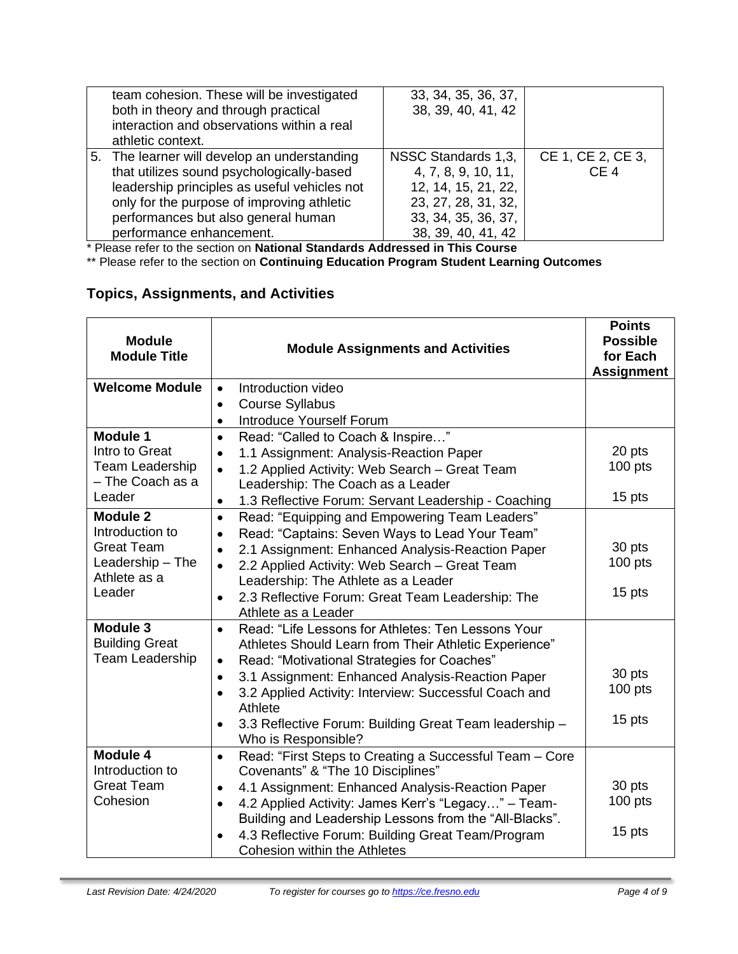| team cohesion. These will be investigated<br>both in theory and through practical<br>interaction and observations within a real<br>athletic context.                                                                                                       | 33, 34, 35, 36, 37,<br>38, 39, 40, 41, 42                                                                                             |                                      |
|------------------------------------------------------------------------------------------------------------------------------------------------------------------------------------------------------------------------------------------------------------|---------------------------------------------------------------------------------------------------------------------------------------|--------------------------------------|
| 5. The learner will develop an understanding<br>that utilizes sound psychologically-based<br>leadership principles as useful vehicles not<br>only for the purpose of improving athletic<br>performances but also general human<br>performance enhancement. | NSSC Standards 1,3,<br>4, 7, 8, 9, 10, 11,<br>12, 14, 15, 21, 22,<br>23, 27, 28, 31, 32,<br>33, 34, 35, 36, 37,<br>38, 39, 40, 41, 42 | CE 1, CE 2, CE 3,<br>CE <sub>4</sub> |

\* Please refer to the section on **National Standards Addressed in This Course**

\*\* Please refer to the section on **Continuing Education Program Student Learning Outcomes**

# **Topics, Assignments, and Activities**

| <b>Module</b><br><b>Module Title</b> | <b>Module Assignments and Activities</b>                                                                                  | <b>Points</b><br><b>Possible</b><br>for Each<br><b>Assignment</b> |
|--------------------------------------|---------------------------------------------------------------------------------------------------------------------------|-------------------------------------------------------------------|
| <b>Welcome Module</b>                | Introduction video<br>$\bullet$                                                                                           |                                                                   |
|                                      | <b>Course Syllabus</b><br>$\bullet$                                                                                       |                                                                   |
|                                      | Introduce Yourself Forum<br>$\bullet$                                                                                     |                                                                   |
| Module 1                             | Read: "Called to Coach & Inspire"<br>$\bullet$                                                                            |                                                                   |
| Intro to Great                       | 1.1 Assignment: Analysis-Reaction Paper<br>$\bullet$                                                                      | 20 pts                                                            |
| Team Leadership                      | 1.2 Applied Activity: Web Search - Great Team<br>$\bullet$                                                                | 100 pts                                                           |
| - The Coach as a                     | Leadership: The Coach as a Leader                                                                                         |                                                                   |
| Leader                               | 1.3 Reflective Forum: Servant Leadership - Coaching<br>$\bullet$                                                          | 15 pts                                                            |
| <b>Module 2</b><br>Introduction to   | Read: "Equipping and Empowering Team Leaders"<br>$\bullet$<br>Read: "Captains: Seven Ways to Lead Your Team"<br>$\bullet$ |                                                                   |
| <b>Great Team</b>                    | 2.1 Assignment: Enhanced Analysis-Reaction Paper<br>$\bullet$                                                             | 30 pts                                                            |
| Leadership - The                     | 2.2 Applied Activity: Web Search - Great Team<br>$\bullet$                                                                | $100$ pts                                                         |
| Athlete as a                         | Leadership: The Athlete as a Leader                                                                                       |                                                                   |
| Leader                               | 2.3 Reflective Forum: Great Team Leadership: The<br>$\bullet$                                                             | 15 pts                                                            |
|                                      | Athlete as a Leader                                                                                                       |                                                                   |
| Module 3                             | Read: "Life Lessons for Athletes: Ten Lessons Your<br>$\bullet$                                                           |                                                                   |
| <b>Building Great</b>                | Athletes Should Learn from Their Athletic Experience"                                                                     |                                                                   |
| <b>Team Leadership</b>               | Read: "Motivational Strategies for Coaches"<br>$\bullet$                                                                  |                                                                   |
|                                      | 3.1 Assignment: Enhanced Analysis-Reaction Paper<br>$\bullet$                                                             | 30 pts                                                            |
|                                      | 3.2 Applied Activity: Interview: Successful Coach and<br>$\bullet$                                                        | $100$ pts                                                         |
|                                      | Athlete                                                                                                                   |                                                                   |
|                                      | 3.3 Reflective Forum: Building Great Team leadership -<br>$\bullet$                                                       | 15 pts                                                            |
|                                      | Who is Responsible?                                                                                                       |                                                                   |
| Module 4                             | Read: "First Steps to Creating a Successful Team - Core<br>$\bullet$                                                      |                                                                   |
| Introduction to                      | Covenants" & "The 10 Disciplines"                                                                                         |                                                                   |
| <b>Great Team</b>                    | 4.1 Assignment: Enhanced Analysis-Reaction Paper<br>$\bullet$                                                             | 30 pts                                                            |
| Cohesion                             | 4.2 Applied Activity: James Kerr's "Legacy" - Team-<br>$\bullet$                                                          | $100$ pts                                                         |
|                                      | Building and Leadership Lessons from the "All-Blacks".                                                                    |                                                                   |
|                                      | 4.3 Reflective Forum: Building Great Team/Program<br>$\bullet$                                                            | 15 pts                                                            |
|                                      | Cohesion within the Athletes                                                                                              |                                                                   |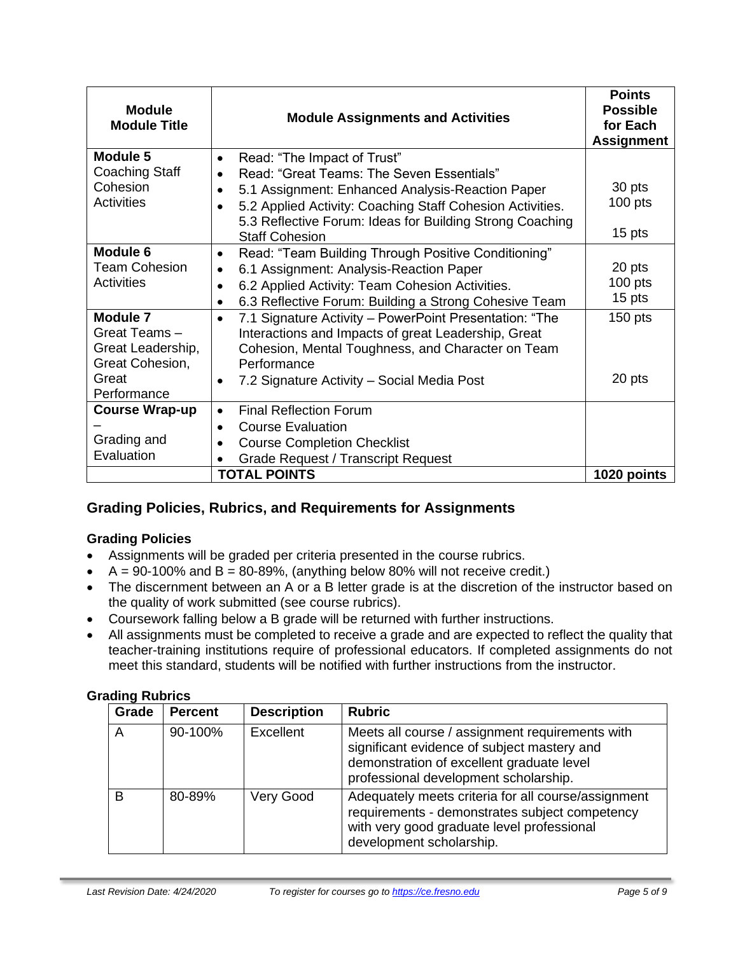| <b>Module</b><br><b>Module Title</b>                                                            | <b>Module Assignments and Activities</b>                                                                                                                                                                                                                                                                                                                                                                                                  | <b>Points</b><br><b>Possible</b><br>for Each<br><b>Assignment</b> |
|-------------------------------------------------------------------------------------------------|-------------------------------------------------------------------------------------------------------------------------------------------------------------------------------------------------------------------------------------------------------------------------------------------------------------------------------------------------------------------------------------------------------------------------------------------|-------------------------------------------------------------------|
| Module 5<br>Coaching Staff                                                                      | Read: "The Impact of Trust"<br>$\bullet$<br>Read: "Great Teams: The Seven Essentials"<br>$\bullet$                                                                                                                                                                                                                                                                                                                                        |                                                                   |
| Cohesion<br>Activities                                                                          | 5.1 Assignment: Enhanced Analysis-Reaction Paper<br>5.2 Applied Activity: Coaching Staff Cohesion Activities.<br>5.3 Reflective Forum: Ideas for Building Strong Coaching                                                                                                                                                                                                                                                                 | 30 pts<br>$100$ pts                                               |
|                                                                                                 | <b>Staff Cohesion</b>                                                                                                                                                                                                                                                                                                                                                                                                                     | 15 pts                                                            |
| Module 6<br><b>Team Cohesion</b><br>Activities<br>Module 7<br>Great Teams-<br>Great Leadership, | Read: "Team Building Through Positive Conditioning"<br>$\bullet$<br>6.1 Assignment: Analysis-Reaction Paper<br>٠<br>6.2 Applied Activity: Team Cohesion Activities.<br>$\bullet$<br>6.3 Reflective Forum: Building a Strong Cohesive Team<br>$\bullet$<br>7.1 Signature Activity - PowerPoint Presentation: "The<br>$\bullet$<br>Interactions and Impacts of great Leadership, Great<br>Cohesion, Mental Toughness, and Character on Team | 20 pts<br>$100$ pts<br>15 pts<br>$150$ pts                        |
| Great Cohesion,<br>Great<br>Performance                                                         | Performance<br>7.2 Signature Activity – Social Media Post<br>$\bullet$                                                                                                                                                                                                                                                                                                                                                                    | 20 pts                                                            |
| <b>Course Wrap-up</b><br>Grading and<br>Evaluation                                              | <b>Final Reflection Forum</b><br>$\bullet$<br><b>Course Evaluation</b><br>$\bullet$<br><b>Course Completion Checklist</b><br><b>Grade Request / Transcript Request</b>                                                                                                                                                                                                                                                                    |                                                                   |
|                                                                                                 | <b>TOTAL POINTS</b>                                                                                                                                                                                                                                                                                                                                                                                                                       | 1020 points                                                       |

# **Grading Policies, Rubrics, and Requirements for Assignments**

# **Grading Policies**

- Assignments will be graded per criteria presented in the course rubrics.
- $\bullet$  A = 90-100% and B = 80-89%, (anything below 80% will not receive credit.)
- The discernment between an A or a B letter grade is at the discretion of the instructor based on the quality of work submitted (see course rubrics).
- Coursework falling below a B grade will be returned with further instructions.
- All assignments must be completed to receive a grade and are expected to reflect the quality that teacher-training institutions require of professional educators. If completed assignments do not meet this standard, students will be notified with further instructions from the instructor.

#### **Grading Rubrics**

| Grade | <b>Percent</b> | <b>Description</b> | <b>Rubric</b>                                                                                                                                                                        |
|-------|----------------|--------------------|--------------------------------------------------------------------------------------------------------------------------------------------------------------------------------------|
| A     | 90-100%        | <b>Excellent</b>   | Meets all course / assignment requirements with<br>significant evidence of subject mastery and<br>demonstration of excellent graduate level<br>professional development scholarship. |
| B     | 80-89%         | Very Good          | Adequately meets criteria for all course/assignment<br>requirements - demonstrates subject competency<br>with very good graduate level professional<br>development scholarship.      |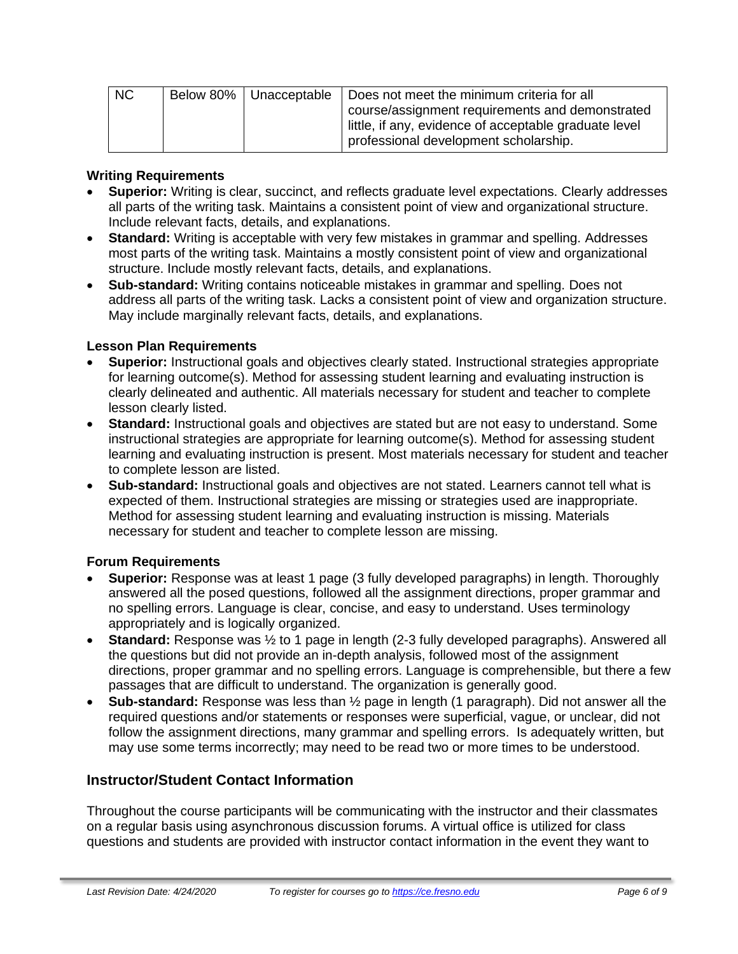| NC |  | Below 80%   Unacceptable   Does not meet the minimum criteria for all |
|----|--|-----------------------------------------------------------------------|
|    |  | course/assignment requirements and demonstrated                       |
|    |  | little, if any, evidence of acceptable graduate level                 |
|    |  | professional development scholarship.                                 |

#### **Writing Requirements**

- **Superior:** Writing is clear, succinct, and reflects graduate level expectations. Clearly addresses all parts of the writing task. Maintains a consistent point of view and organizational structure. Include relevant facts, details, and explanations.
- **Standard:** Writing is acceptable with very few mistakes in grammar and spelling. Addresses most parts of the writing task. Maintains a mostly consistent point of view and organizational structure. Include mostly relevant facts, details, and explanations.
- **Sub-standard:** Writing contains noticeable mistakes in grammar and spelling. Does not address all parts of the writing task. Lacks a consistent point of view and organization structure. May include marginally relevant facts, details, and explanations.

#### **Lesson Plan Requirements**

- **Superior:** Instructional goals and objectives clearly stated. Instructional strategies appropriate for learning outcome(s). Method for assessing student learning and evaluating instruction is clearly delineated and authentic. All materials necessary for student and teacher to complete lesson clearly listed.
- **Standard:** Instructional goals and objectives are stated but are not easy to understand. Some instructional strategies are appropriate for learning outcome(s). Method for assessing student learning and evaluating instruction is present. Most materials necessary for student and teacher to complete lesson are listed.
- **Sub-standard:** Instructional goals and objectives are not stated. Learners cannot tell what is expected of them. Instructional strategies are missing or strategies used are inappropriate. Method for assessing student learning and evaluating instruction is missing. Materials necessary for student and teacher to complete lesson are missing.

#### **Forum Requirements**

- **Superior:** Response was at least 1 page (3 fully developed paragraphs) in length. Thoroughly answered all the posed questions, followed all the assignment directions, proper grammar and no spelling errors. Language is clear, concise, and easy to understand. Uses terminology appropriately and is logically organized.
- **Standard:** Response was ½ to 1 page in length (2-3 fully developed paragraphs). Answered all the questions but did not provide an in-depth analysis, followed most of the assignment directions, proper grammar and no spelling errors. Language is comprehensible, but there a few passages that are difficult to understand. The organization is generally good.
- **Sub-standard:** Response was less than ½ page in length (1 paragraph). Did not answer all the required questions and/or statements or responses were superficial, vague, or unclear, did not follow the assignment directions, many grammar and spelling errors. Is adequately written, but may use some terms incorrectly; may need to be read two or more times to be understood.

#### **Instructor/Student Contact Information**

Throughout the course participants will be communicating with the instructor and their classmates on a regular basis using asynchronous discussion forums. A virtual office is utilized for class questions and students are provided with instructor contact information in the event they want to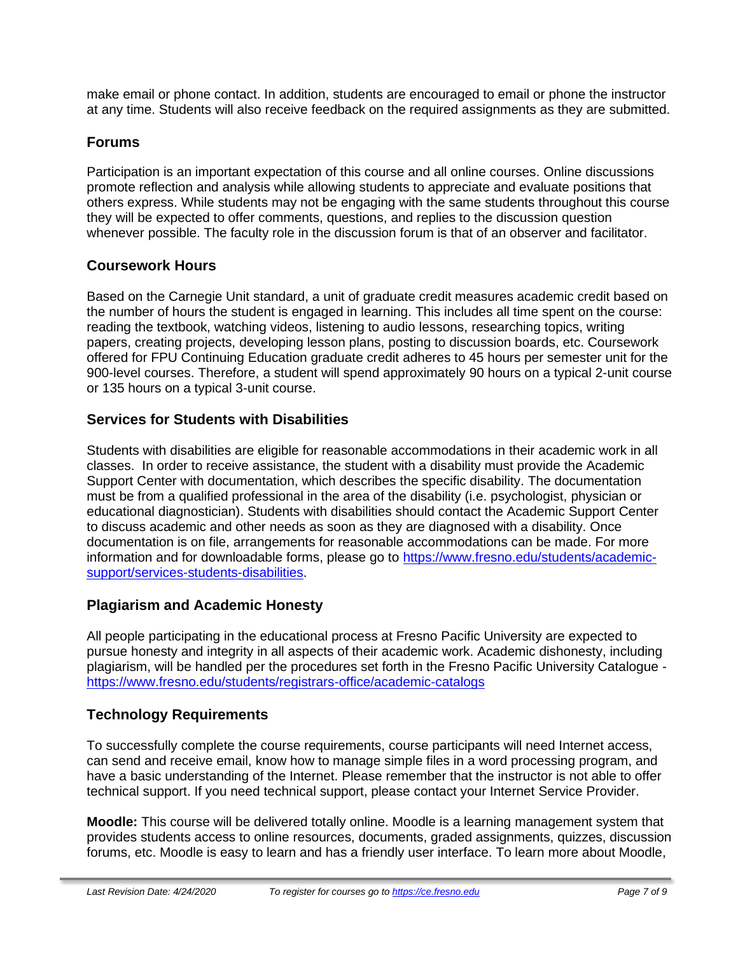make email or phone contact. In addition, students are encouraged to email or phone the instructor at any time. Students will also receive feedback on the required assignments as they are submitted.

# **Forums**

Participation is an important expectation of this course and all online courses. Online discussions promote reflection and analysis while allowing students to appreciate and evaluate positions that others express. While students may not be engaging with the same students throughout this course they will be expected to offer comments, questions, and replies to the discussion question whenever possible. The faculty role in the discussion forum is that of an observer and facilitator.

# **Coursework Hours**

Based on the Carnegie Unit standard, a unit of graduate credit measures academic credit based on the number of hours the student is engaged in learning. This includes all time spent on the course: reading the textbook, watching videos, listening to audio lessons, researching topics, writing papers, creating projects, developing lesson plans, posting to discussion boards, etc. Coursework offered for FPU Continuing Education graduate credit adheres to 45 hours per semester unit for the 900-level courses. Therefore, a student will spend approximately 90 hours on a typical 2-unit course or 135 hours on a typical 3-unit course.

# **Services for Students with Disabilities**

Students with disabilities are eligible for reasonable accommodations in their academic work in all classes. In order to receive assistance, the student with a disability must provide the Academic Support Center with documentation, which describes the specific disability. The documentation must be from a qualified professional in the area of the disability (i.e. psychologist, physician or educational diagnostician). Students with disabilities should contact the Academic Support Center to discuss academic and other needs as soon as they are diagnosed with a disability. Once documentation is on file, arrangements for reasonable accommodations can be made. For more information and for downloadable forms, please go to [https://www.fresno.edu/students/academic](https://www.fresno.edu/students/academic-support/services-students-disabilities)[support/services-students-disabilities.](https://www.fresno.edu/students/academic-support/services-students-disabilities)

# **Plagiarism and Academic Honesty**

All people participating in the educational process at Fresno Pacific University are expected to pursue honesty and integrity in all aspects of their academic work. Academic dishonesty, including plagiarism, will be handled per the procedures set forth in the Fresno Pacific University Catalogue <https://www.fresno.edu/students/registrars-office/academic-catalogs>

# **Technology Requirements**

To successfully complete the course requirements, course participants will need Internet access, can send and receive email, know how to manage simple files in a word processing program, and have a basic understanding of the Internet. Please remember that the instructor is not able to offer technical support. If you need technical support, please contact your Internet Service Provider.

**Moodle:** This course will be delivered totally online. Moodle is a learning management system that provides students access to online resources, documents, graded assignments, quizzes, discussion forums, etc. Moodle is easy to learn and has a friendly user interface. To learn more about Moodle,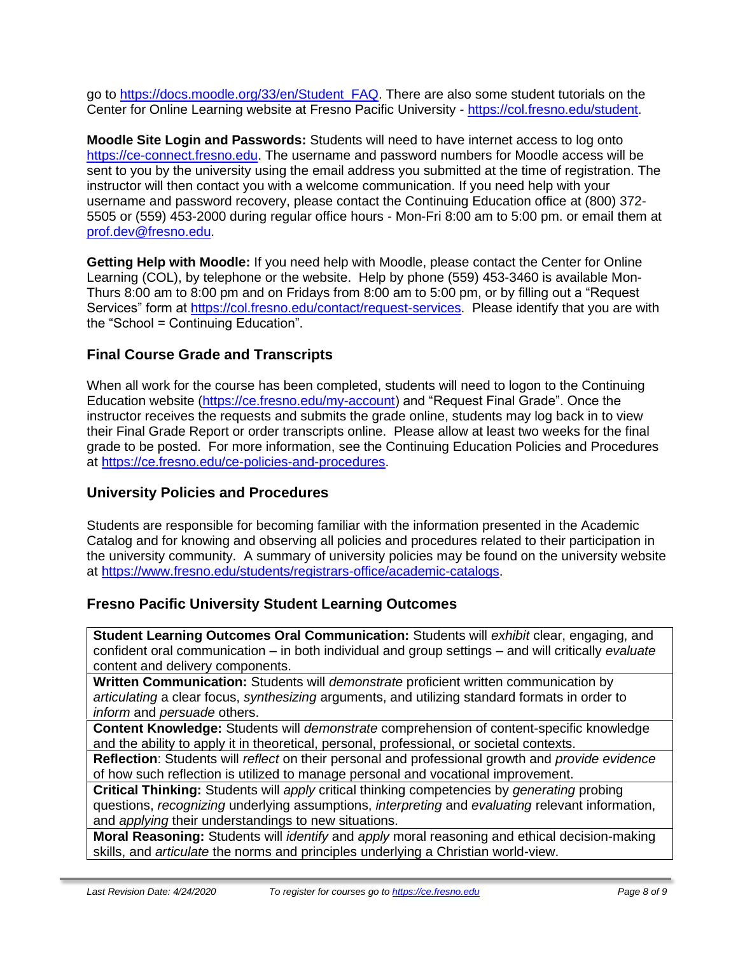go to [https://docs.moodle.org/33/en/Student\\_FAQ.](https://docs.moodle.org/33/en/Student_FAQ) There are also some student tutorials on the Center for Online Learning website at Fresno Pacific University - [https://col.fresno.edu/student.](https://col.fresno.edu/student)

**Moodle Site Login and Passwords:** Students will need to have internet access to log onto [https://ce-connect.fresno.edu.](https://ce-connect.fresno.edu/) The username and password numbers for Moodle access will be sent to you by the university using the email address you submitted at the time of registration. The instructor will then contact you with a welcome communication. If you need help with your username and password recovery, please contact the Continuing Education office at (800) 372- 5505 or (559) 453-2000 during regular office hours - Mon-Fri 8:00 am to 5:00 pm. or email them at [prof.dev@fresno.edu.](mailto:prof.dev@fresno.edu)

**Getting Help with Moodle:** If you need help with Moodle, please contact the Center for Online Learning (COL), by telephone or the website. Help by phone (559) 453-3460 is available Mon-Thurs 8:00 am to 8:00 pm and on Fridays from 8:00 am to 5:00 pm, or by filling out a "Request Services" form at [https://col.fresno.edu/contact/request-services.](https://col.fresno.edu/contact/request-services) Please identify that you are with the "School = Continuing Education".

# **Final Course Grade and Transcripts**

When all work for the course has been completed, students will need to logon to the Continuing Education website [\(https://ce.fresno.edu/my-account\)](https://ce.fresno.edu/my-account) and "Request Final Grade". Once the instructor receives the requests and submits the grade online, students may log back in to view their Final Grade Report or order transcripts online. Please allow at least two weeks for the final grade to be posted. For more information, see the Continuing Education Policies and Procedures at [https://ce.fresno.edu/ce-policies-and-procedures.](https://ce.fresno.edu/ce-policies-and-procedures)

# **University Policies and Procedures**

Students are responsible for becoming familiar with the information presented in the Academic Catalog and for knowing and observing all policies and procedures related to their participation in the university community. A summary of university policies may be found on the university website at [https://www.fresno.edu/students/registrars-office/academic-catalogs.](https://www.fresno.edu/students/registrars-office/academic-catalogs)

# **Fresno Pacific University Student Learning Outcomes**

**Student Learning Outcomes Oral Communication:** Students will *exhibit* clear, engaging, and confident oral communication – in both individual and group settings – and will critically *evaluate*  content and delivery components.

**Written Communication:** Students will *demonstrate* proficient written communication by *articulating* a clear focus, *synthesizing* arguments, and utilizing standard formats in order to *inform* and *persuade* others.

**Content Knowledge:** Students will *demonstrate* comprehension of content-specific knowledge and the ability to apply it in theoretical, personal, professional, or societal contexts.

**Reflection**: Students will *reflect* on their personal and professional growth and *provide evidence*  of how such reflection is utilized to manage personal and vocational improvement.

**Critical Thinking:** Students will *apply* critical thinking competencies by *generating* probing questions, *recognizing* underlying assumptions, *interpreting* and *evaluating* relevant information, and *applying* their understandings to new situations.

**Moral Reasoning:** Students will *identify* and *apply* moral reasoning and ethical decision-making skills, and *articulate* the norms and principles underlying a Christian world-view.